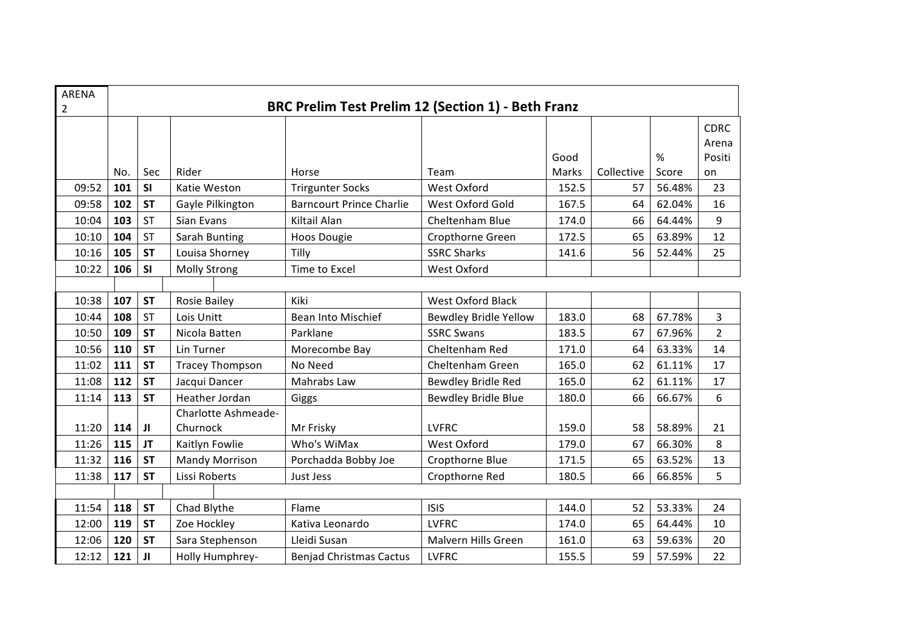| <b>ARENA</b><br>$\overline{2}$ | BRC Prelim Test Prelim 12 (Section 1) - Beth Franz |           |                        |                                 |                            |       |            |        |                |  |
|--------------------------------|----------------------------------------------------|-----------|------------------------|---------------------------------|----------------------------|-------|------------|--------|----------------|--|
|                                |                                                    |           |                        |                                 |                            |       |            |        | <b>CDRC</b>    |  |
|                                |                                                    |           |                        |                                 |                            |       |            |        | Arena          |  |
|                                |                                                    |           |                        |                                 |                            | Good  |            | $\%$   | Positi         |  |
|                                | No.                                                | Sec       | Rider                  | Horse                           | Team                       | Marks | Collective | Score  | on             |  |
| 09:52                          | 101                                                | <b>SI</b> | Katie Weston           | <b>Trirgunter Socks</b>         | West Oxford                | 152.5 | 57         | 56.48% | 23             |  |
| 09:58                          | 102                                                | <b>ST</b> | Gayle Pilkington       | <b>Barncourt Prince Charlie</b> | West Oxford Gold           | 167.5 | 64         | 62.04% | 16             |  |
| 10:04                          | 103                                                | <b>ST</b> | Sian Evans             | Kiltail Alan                    | Cheltenham Blue            | 174.0 | 66         | 64.44% | 9              |  |
| 10:10                          | 104                                                | <b>ST</b> | Sarah Bunting          | <b>Hoos Dougie</b>              | Cropthorne Green           | 172.5 | 65         | 63.89% | 12             |  |
| 10:16                          | 105                                                | <b>ST</b> | Louisa Shorney         | Tilly                           | <b>SSRC Sharks</b>         | 141.6 | 56         | 52.44% | 25             |  |
| 10:22                          | 106                                                | SI        | <b>Molly Strong</b>    | Time to Excel                   | West Oxford                |       |            |        |                |  |
|                                |                                                    |           |                        |                                 |                            |       |            |        |                |  |
| 10:38                          | 107                                                | <b>ST</b> | Rosie Bailey           | Kiki                            | <b>West Oxford Black</b>   |       |            |        |                |  |
| 10:44                          | 108                                                | <b>ST</b> | Lois Unitt             | Bean Into Mischief              | Bewdley Bridle Yellow      | 183.0 | 68         | 67.78% | 3              |  |
| 10:50                          | 109                                                | <b>ST</b> | Nicola Batten          | Parklane                        | <b>SSRC Swans</b>          | 183.5 | 67         | 67.96% | $\overline{2}$ |  |
| 10:56                          | 110                                                | <b>ST</b> | Lin Turner             | Morecombe Bay                   | Cheltenham Red             | 171.0 | 64         | 63.33% | 14             |  |
| 11:02                          | 111                                                | <b>ST</b> | <b>Tracey Thompson</b> | No Need                         | Cheltenham Green           | 165.0 | 62         | 61.11% | 17             |  |
| 11:08                          | 112                                                | <b>ST</b> | Jacqui Dancer          | Mahrabs Law                     | <b>Bewdley Bridle Red</b>  | 165.0 | 62         | 61.11% | 17             |  |
| 11:14                          | 113                                                | <b>ST</b> | Heather Jordan         | Giggs                           | <b>Bewdley Bridle Blue</b> | 180.0 | 66         | 66.67% | 6              |  |
|                                |                                                    |           | Charlotte Ashmeade-    |                                 |                            |       |            |        |                |  |
| 11:20                          | 114                                                | JI        | Churnock               | Mr Frisky                       | <b>LVFRC</b>               | 159.0 | 58         | 58.89% | 21             |  |
| 11:26                          | 115                                                | <b>JT</b> | Kaitlyn Fowlie         | Who's WiMax                     | West Oxford                | 179.0 | 67         | 66.30% | 8              |  |
| 11:32                          | 116                                                | <b>ST</b> | <b>Mandy Morrison</b>  | Porchadda Bobby Joe             | Cropthorne Blue            | 171.5 | 65         | 63.52% | 13             |  |
| 11:38                          | 117                                                | <b>ST</b> | Lissi Roberts          | Just Jess                       | Cropthorne Red             | 180.5 | 66         | 66.85% | 5              |  |
|                                |                                                    |           |                        |                                 |                            |       |            |        |                |  |
| 11:54                          | 118                                                | <b>ST</b> | Chad Blythe            | Flame                           | <b>ISIS</b>                | 144.0 | 52         | 53.33% | 24             |  |
| 12:00                          | 119                                                | <b>ST</b> | Zoe Hockley            | Kativa Leonardo                 | <b>LVFRC</b>               | 174.0 | 65         | 64.44% | 10             |  |
| 12:06                          | 120                                                | <b>ST</b> | Sara Stephenson        | Lleidi Susan                    | Malvern Hills Green        | 161.0 | 63         | 59.63% | 20             |  |
| 12:12                          | 121                                                | JI        | Holly Humphrey-        | <b>Benjad Christmas Cactus</b>  | <b>LVFRC</b>               | 155.5 | 59         | 57.59% | 22             |  |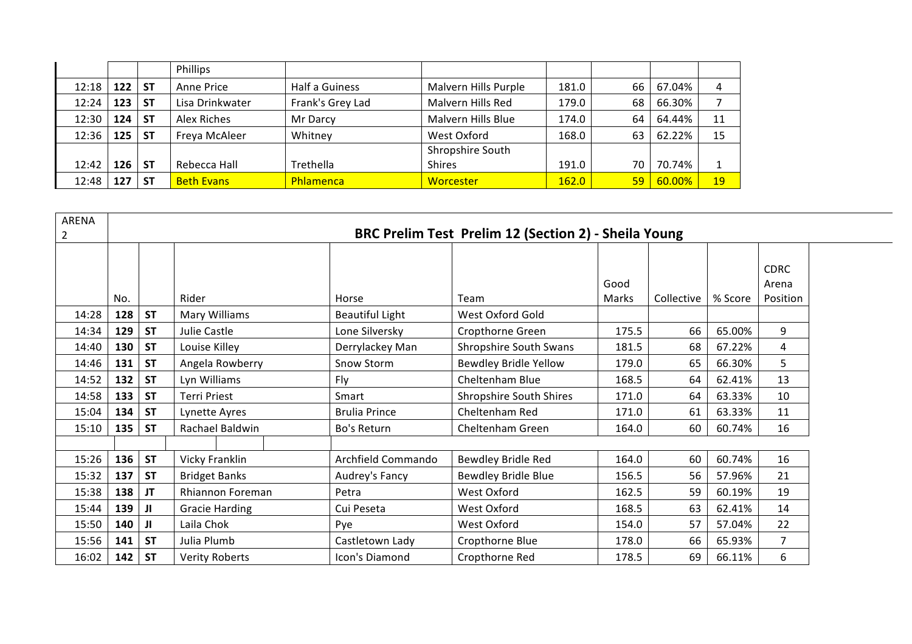|       |     |           | Phillips          |                  |                      |       |    |        |    |
|-------|-----|-----------|-------------------|------------------|----------------------|-------|----|--------|----|
| 12:18 | 122 | <b>ST</b> | Anne Price        | Half a Guiness   | Malvern Hills Purple | 181.0 | 66 | 67.04% | 4  |
| 12:24 | 123 | <b>ST</b> | Lisa Drinkwater   | Frank's Grey Lad | Malvern Hills Red    | 179.0 | 68 | 66.30% |    |
| 12:30 | 124 | <b>ST</b> | Alex Riches       | Mr Darcy         | Malvern Hills Blue   | 174.0 | 64 | 64.44% | 11 |
| 12:36 | 125 | <b>ST</b> | Freya McAleer     | Whitney          | West Oxford          | 168.0 | 63 | 62.22% | 15 |
|       |     |           |                   |                  | Shropshire South     |       |    |        |    |
| 12:42 | 126 | <b>ST</b> | Rebecca Hall      | Trethella        | <b>Shires</b>        | 191.0 | 70 | 70.74% |    |
| 12:48 | 127 | <b>ST</b> | <b>Beth Evans</b> | Phlamenca        | Worcester            | 162.0 | 59 | 60.00% | 19 |

| ARENA        |     |           |                       |                                                      |                                |               |            |         |                                  |  |  |  |  |
|--------------|-----|-----------|-----------------------|------------------------------------------------------|--------------------------------|---------------|------------|---------|----------------------------------|--|--|--|--|
| $\mathbf{2}$ |     |           |                       | BRC Prelim Test Prelim 12 (Section 2) - Sheila Young |                                |               |            |         |                                  |  |  |  |  |
|              | No. |           | Rider                 | Horse                                                | Team                           | Good<br>Marks | Collective | % Score | <b>CDRC</b><br>Arena<br>Position |  |  |  |  |
| 14:28        | 128 | <b>ST</b> | Mary Williams         | <b>Beautiful Light</b>                               | West Oxford Gold               |               |            |         |                                  |  |  |  |  |
| 14:34        | 129 | <b>ST</b> | Julie Castle          | Lone Silversky                                       | Cropthorne Green               | 175.5         | 66         | 65.00%  | 9                                |  |  |  |  |
| 14:40        | 130 | <b>ST</b> | Louise Killey         | Derrylackey Man                                      | Shropshire South Swans         | 181.5         | 68         | 67.22%  | 4                                |  |  |  |  |
| 14:46        | 131 | <b>ST</b> | Angela Rowberry       | Snow Storm                                           | <b>Bewdley Bridle Yellow</b>   | 179.0         | 65         | 66.30%  | 5                                |  |  |  |  |
| 14:52        | 132 | <b>ST</b> | Lyn Williams          | Fly                                                  | Cheltenham Blue                | 168.5         | 64         | 62.41%  | 13                               |  |  |  |  |
| 14:58        | 133 | <b>ST</b> | <b>Terri Priest</b>   | Smart                                                | <b>Shropshire South Shires</b> | 171.0         | 64         | 63.33%  | 10                               |  |  |  |  |
| 15:04        | 134 | <b>ST</b> | Lynette Ayres         | <b>Brulia Prince</b>                                 | Cheltenham Red                 | 171.0         | 61         | 63.33%  | 11                               |  |  |  |  |
| 15:10        | 135 | <b>ST</b> | Rachael Baldwin       | Bo's Return                                          | Cheltenham Green               | 164.0         | 60         | 60.74%  | 16                               |  |  |  |  |
|              |     |           |                       |                                                      |                                |               |            |         |                                  |  |  |  |  |
| 15:26        | 136 | <b>ST</b> | Vicky Franklin        | Archfield Commando                                   | Bewdley Bridle Red             | 164.0         | 60         | 60.74%  | 16                               |  |  |  |  |
| 15:32        | 137 | <b>ST</b> | <b>Bridget Banks</b>  | Audrey's Fancy                                       | Bewdley Bridle Blue            | 156.5         | 56         | 57.96%  | 21                               |  |  |  |  |
| 15:38        | 138 | JT        | Rhiannon Foreman      | Petra                                                | West Oxford                    | 162.5         | 59         | 60.19%  | 19                               |  |  |  |  |
| 15:44        | 139 | ЛL        | <b>Gracie Harding</b> | Cui Peseta                                           | West Oxford                    | 168.5         | 63         | 62.41%  | 14                               |  |  |  |  |
| 15:50        | 140 | JI        | Laila Chok            | Pye                                                  | West Oxford                    | 154.0         | 57         | 57.04%  | 22                               |  |  |  |  |
| 15:56        | 141 | <b>ST</b> | Julia Plumb           | Castletown Lady                                      | Cropthorne Blue                | 178.0         | 66         | 65.93%  | 7                                |  |  |  |  |
| 16:02        | 142 | <b>ST</b> | <b>Verity Roberts</b> | Icon's Diamond                                       | Cropthorne Red                 | 178.5         | 69         | 66.11%  | 6                                |  |  |  |  |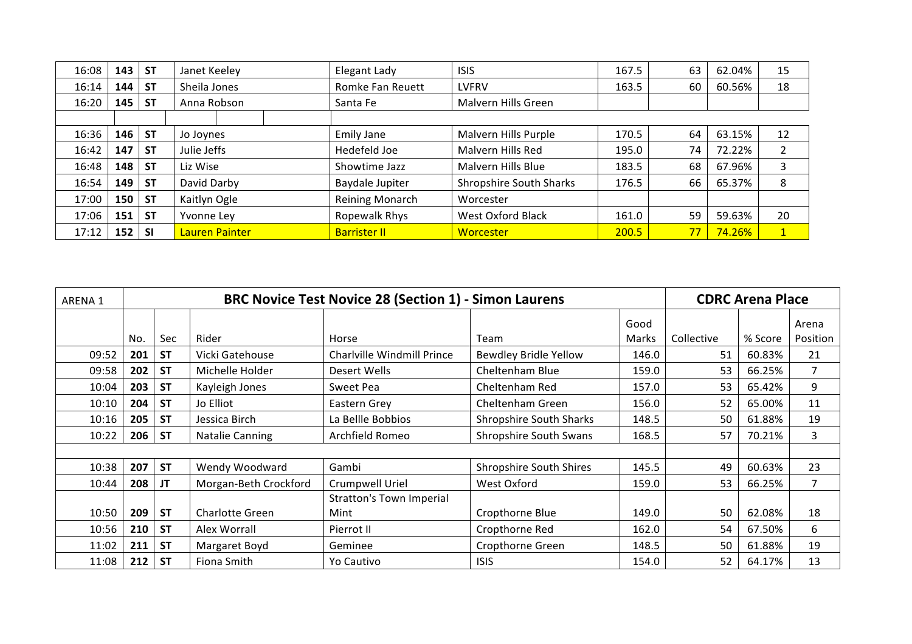| 16:08 | 143 | <b>ST</b> | Janet Keeley   | Elegant Lady        | <b>ISIS</b>                    | 167.5 | 63 | 62.04% | 15             |
|-------|-----|-----------|----------------|---------------------|--------------------------------|-------|----|--------|----------------|
| 16:14 | 144 | <b>ST</b> | Sheila Jones   | Romke Fan Reuett    | <b>LVFRV</b>                   | 163.5 | 60 | 60.56% | 18             |
| 16:20 | 145 | <b>ST</b> | Anna Robson    | Santa Fe            | Malvern Hills Green            |       |    |        |                |
|       |     |           |                |                     |                                |       |    |        |                |
| 16:36 | 146 | <b>ST</b> | Jo Joynes      | <b>Emily Jane</b>   | Malvern Hills Purple           | 170.5 | 64 | 63.15% | 12             |
| 16:42 | 147 | <b>ST</b> | Julie Jeffs    | Hedefeld Joe        | Malvern Hills Red              | 195.0 | 74 | 72.22% | ົາ             |
| 16:48 | 148 | <b>ST</b> | Liz Wise       | Showtime Jazz       | Malvern Hills Blue             | 183.5 | 68 | 67.96% | 3              |
| 16:54 | 149 | <b>ST</b> | David Darby    | Baydale Jupiter     | <b>Shropshire South Sharks</b> | 176.5 | 66 | 65.37% | 8              |
| 17:00 | 150 | <b>ST</b> | Kaitlyn Ogle   | Reining Monarch     | Worcester                      |       |    |        |                |
| 17:06 | 151 | <b>ST</b> | Yvonne Ley     | Ropewalk Rhys       | <b>West Oxford Black</b>       | 161.0 | 59 | 59.63% | 20             |
| 17:12 | 152 | -SI       | Lauren Painter | <b>Barrister II</b> | Worcester                      | 200.5 | 77 | 74.26% | 1 <sup>1</sup> |

| ARENA 1 |     | <b>BRC Novice Test Novice 28 (Section 1) - Simon Laurens</b> |                        |                                 |                                |              |            |         | <b>CDRC Arena Place</b> |  |  |  |
|---------|-----|--------------------------------------------------------------|------------------------|---------------------------------|--------------------------------|--------------|------------|---------|-------------------------|--|--|--|
|         |     |                                                              |                        |                                 |                                | Good         |            |         | Arena                   |  |  |  |
|         | No. | Sec                                                          | Rider                  | Horse                           | Team                           | <b>Marks</b> | Collective | % Score | Position                |  |  |  |
| 09:52   | 201 | <b>ST</b>                                                    | Vicki Gatehouse        | Charlville Windmill Prince      | Bewdley Bridle Yellow          | 146.0        | 51         | 60.83%  | 21                      |  |  |  |
| 09:58   | 202 | <b>ST</b>                                                    | Michelle Holder        | Desert Wells                    | Cheltenham Blue                | 159.0        | 53         | 66.25%  | 7                       |  |  |  |
| 10:04   | 203 | <b>ST</b>                                                    | Kayleigh Jones         | Sweet Pea                       | Cheltenham Red                 | 157.0        | 53         | 65.42%  | 9                       |  |  |  |
| 10:10   | 204 | <b>ST</b>                                                    | Jo Elliot              | Eastern Grey                    | Cheltenham Green               | 156.0        | 52         | 65.00%  | 11                      |  |  |  |
| 10:16   | 205 | <b>ST</b>                                                    | Jessica Birch          | La Bellle Bobbios               | <b>Shropshire South Sharks</b> | 148.5        | 50         | 61.88%  | 19                      |  |  |  |
| 10:22   | 206 | <b>ST</b>                                                    | <b>Natalie Canning</b> | Archfield Romeo                 | <b>Shropshire South Swans</b>  | 168.5        | 57         | 70.21%  | 3                       |  |  |  |
|         |     |                                                              |                        |                                 |                                |              |            |         |                         |  |  |  |
| 10:38   | 207 | <b>ST</b>                                                    | Wendy Woodward         | Gambi                           | <b>Shropshire South Shires</b> | 145.5        | 49         | 60.63%  | 23                      |  |  |  |
| 10:44   | 208 | JT                                                           | Morgan-Beth Crockford  | Crumpwell Uriel                 | West Oxford                    | 159.0        | 53         | 66.25%  | $\overline{7}$          |  |  |  |
|         |     |                                                              |                        | <b>Stratton's Town Imperial</b> |                                |              |            |         |                         |  |  |  |
| 10:50   | 209 | <b>ST</b>                                                    | <b>Charlotte Green</b> | Mint                            | Cropthorne Blue                | 149.0        | 50         | 62.08%  | 18                      |  |  |  |
| 10:56   | 210 | <b>ST</b>                                                    | Alex Worrall           | Pierrot II                      | Cropthorne Red                 | 162.0        | 54         | 67.50%  | 6                       |  |  |  |
| 11:02   | 211 | <b>ST</b>                                                    | Margaret Boyd          | Geminee                         | Cropthorne Green               | 148.5        | 50         | 61.88%  | 19                      |  |  |  |
| 11:08   | 212 | <b>ST</b>                                                    | Fiona Smith            | Yo Cautivo                      | <b>ISIS</b>                    | 154.0        | 52         | 64.17%  | 13                      |  |  |  |